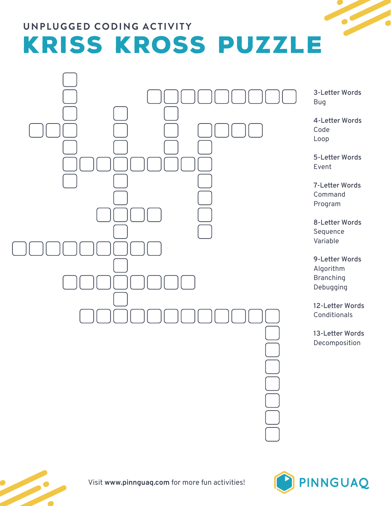## **UNPLUGGED CODING ACTIVITY** KRISS KROSS PUZZLE



**3-Letter Words** Bug

**4-Letter Words** Code Loop

**5-Letter Words** Event

**7-Letter Words** Command Program

**8-Letter Words** Sequence Variable

**9-Letter Words** Algorithm **Branching** Debugging

**12-Letter Words Conditionals** 

**13-Letter Words** Decomposition





Visit **www.pinnguaq.com** for more fun activities!